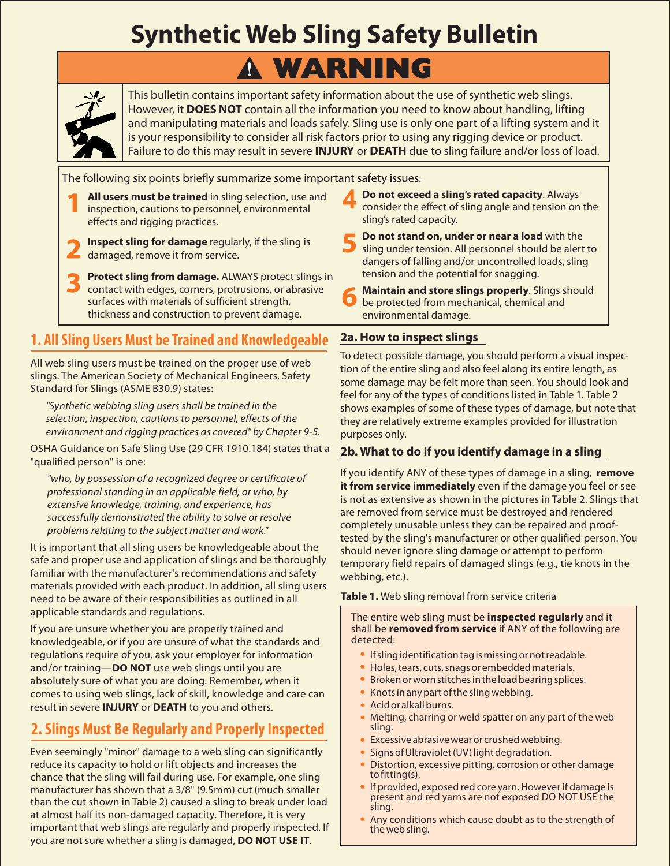## **Synthetic Web Sling Safety Bulletin**

# **WARNING**



This bulletin contains important safety information about the use of synthetic web slings. However, it **DOES NOT** contain all the information you need to know about handling, lifting and manipulating materials and loads safely. Sling use is only one part of a lifting system and it is your responsibility to consider all risk factors prior to using any rigging device or product. Failure to do this may result in severe **INJURY** or DEATH due to sling failure and/or loss of load.

- **All users must be trained** in sling selection, use and inspection, cautions to personnel, environmental effects and rigging practices.
- **Inspect sling for damage** regularly, if the sling is damaged, remove it from service.
- **Protect sling from damage.** ALWAYS protect slings in contact with edges, corners, protrusions, or abrasive surfaces with materials of sufficient strength, thickness and construction to prevent damage.

## **1. All Sling Users Must be Trained and Knowledgeable 2a. How to inspect slings**

All web sling users must be trained on the proper use of web slings. The American Society of Mechanical Engineers, Safety Standard for Slings (ASME B30.9) states:

*"Synthetic webbing sling users shall be trained in the selection, inspection, cautions to personnel, effects of the environment and rigging practices as covered" by Chapter 9-5.*

OSHA Guidance on Safe Sling Use (29 CFR 1910.184) states that a "qualified person" is one:

*"who, by possession of a recognized degree or certificate of professional standing in an applicable field, or who, by extensive knowledge, training, and experience, has successfully demonstrated the ability to solve or resolve problems relating to the subject matter and work."*

It is important that all sling users be knowledgeable about the safe and proper use and application of slings and be thoroughly familiar with the manufacturer's recommendations and safety materials provided with each product. In addition, all sling users need to be aware of their responsibilities as outlined in all applicable standards and regulations.

If you are unsure whether you are properly trained and knowledgeable, or if you are unsure of what the standards and regulations require of you, ask your employer for information and/or training—**DO NOT** use web slings until you are absolutely sure of what you are doing. Remember, when it comes to using web slings, lack of skill, knowledge and care can result in severe **INJURY** or DEATH to you and others.

## **2. Slings Must Be Regularly and Properly Inspected**

Even seemingly "minor" damage to a web sling can significantly reduce its capacity to hold or lift objects and increases the chance that the sling will fail during use. For example, one sling manufacturer has shown that a 3/8" (9.5mm) cut (much smaller than the cut shown in Table 2) caused a sling to break under load at almost half its non-damaged capacity. Therefore, it is very important that web slings are regularly and properly inspected. If you are not sure whether a sling is damaged, **DO NOT USE IT.** 

**Do not exceed a sling's rated capacity**. Always consider the effect of sling angle and tension on the sling's rated capacity. **4**

- **Do not stand on, under or near a load** with the sling under tension. All personnel should be alert to dangers of falling and/or uncontrolled loads, sling tension and the potential for snagging.
- **Maintain and store slings properly**. Slings should be protected from mechanical, chemical and environmental damage.

To detect possible damage, you should perform a visual inspection of the entire sling and also feel along its entire length, as some damage may be felt more than seen. You should look and feel for any of the types of conditions listed in Table 1. Table 2 shows examples of some of these types of damage, but note that they are relatively extreme examples provided for illustration purposes only.

#### **2b. What to do if you identify damage in a sling**

If you identify ANY of these types of damage in a sling, **remove it from service immediately** even if the damage you feel or see is not as extensive as shown in the pictures in Table 2. Slings that are removed from service must be destroyed and rendered completely unusable unless they can be repaired and prooftested by the sling's manufacturer or other qualified person. You should never ignore sling damage or attempt to perform temporary field repairs of damaged slings (e.g., tie knots in the webbing, etc.).

#### **Table 1.** Web sling removal from service criteria

The entire web sling must be **inspected regularly** and it shall be **removed from service** if ANY of the following are detected:

- If sling identification tag is missing or not readable.
- Holes, tears, cuts, snags or embedded materials.
- Hotes, teals, ears, shags of embedded materials:<br>• Broken or worn stitches in the load bearing splices.
- Knots in any part of the sling webbing.
- Acid or alkali burns.
- Nelting, charring or weld spatter on any part of the web sling.
- Excessive abrasive wear or crushed webbing.
- Signs of Ultraviolet (UV) light degradation.
- Bistortion, excessive pitting, corrosion or other damage to fitting(s).
- If provided, exposed red core yarn. However if damage is present and red yarns are not exposed DO NOT USE the sling.
- Any conditions which cause doubt as to the strength of the web sling.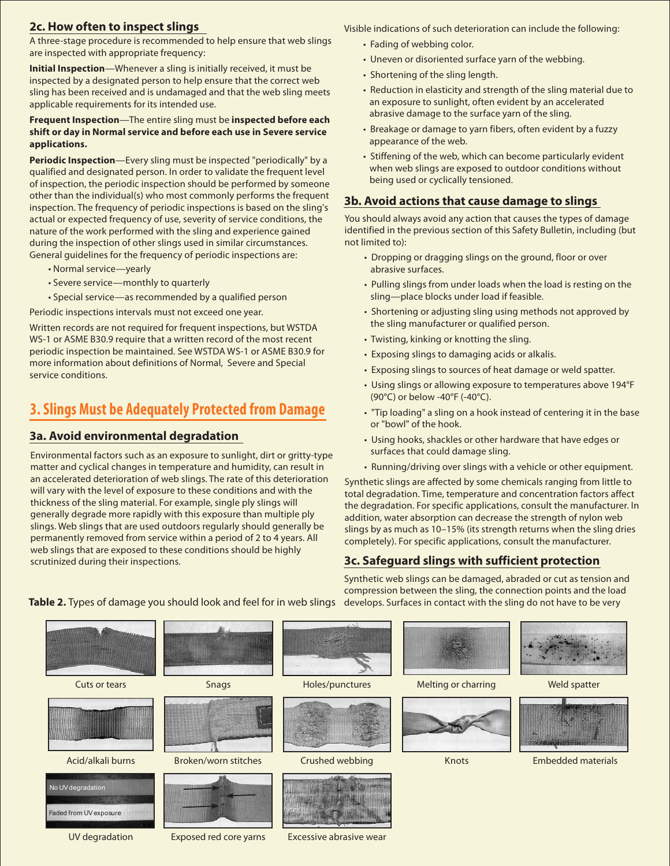#### **2c. How often to inspect slings**

A three-stage procedure is recommended to help ensure that web slings are inspected with appropriate frequency:

Initial Inspection—Whenever a sling is initially received, it must be inspected by a designated person to help ensure that the correct web sling has been received and is undamaged and that the web sling meets applicable requirements for its intended use.

#### Frequent Inspection—The entire sling must be inspected before each **shift or day in Normal service and before each use in Severe service applications.**

Periodic Inspection—Every sling must be inspected "periodically" by a qualified and designated person. In order to validate the frequent level of inspection, the periodic inspection should be performed by someone other than the individual(s) who most commonly performs the frequent inspection. The frequency of periodic inspections is based on the sling's actual or expected frequency of use, severity of service conditions, the nature of the work performed with the sling and experience gained during the inspection of other slings used in similar circumstances. General guidelines for the frequency of periodic inspections are:

- Normal service—yearly
- Severe service—monthly to quarterly
- Special service—as recommended by a qualified person

Periodic inspections intervals must not exceed one year.

Written records are not required for frequent inspections, but WSTDA WS-1 or ASME B30.9 require that a written record of the most recent periodic inspection be maintained. See WSTDA WS-1 or ASME B30.9 for more information about definitions of Normal, Severe and Special service conditions.

### **3. Slings Must be Adequately Protected from Damage**

#### **3a. Avoid environmental degradation**

Environmental factors such as an exposure to sunlight, dirt or gritty-type matter and cyclical changes in temperature and humidity, can result in an accelerated deterioration of web slings. The rate of this deterioration will vary with the level of exposure to these conditions and with the thickness of the sling material. For example, single ply slings will generally degrade more rapidly with this exposure than multiple ply slings. Web slings that are used outdoors regularly should generally be permanently removed from service within a period of 2 to 4 years. All web slings that are exposed to these conditions should be highly scrutinized during their inspections.

Visible indications of such deterioration can include the following:

- Fading of webbing color.
- Uneven or disoriented surface yarn of the webbing.
- Shortening of the sling length.
- Reduction in elasticity and strength of the sling material due to an exposure to sunlight, often evident by an accelerated abrasive damage to the surface yarn of the sling.
- Breakage or damage to yarn fibers, often evident by a fuzzy appearance of the web.
- Stiffening of the web, which can become particularly evident when web slings are exposed to outdoor conditions without being used or cyclically tensioned.

#### **3b. Avoid actions that cause damage to slings**

You should always avoid any action that causes the types of damage identified in the previous section of this Safety Bulletin, including (but not limited to):

- Dropping or dragging slings on the ground, floor or over abrasive surfaces.
- Pulling slings from under loads when the load is resting on the sling—place blocks under load if feasible.
- Shortening or adjusting sling using methods not approved by the sling manufacturer or qualified person.
- Twisting, kinking or knotting the sling.
- Exposing slings to damaging acids or alkalis.
- Exposing slings to sources of heat damage or weld spatter.
- Using slings or allowing exposure to temperatures above 194°F (90°C) or below -40°F (-40°C).
- "Tip loading" a sling on a hook instead of centering it in the base or "bowl" of the hook.
- Using hooks, shackles or other hardware that have edges or surfaces that could damage sling.
- Running/driving over slings with a vehicle or other equipment.

Synthetic slings are affected by some chemicals ranging from little to total degradation. Time, temperature and concentration factors affect the degradation. For specific applications, consult the manufacturer. In addition, water absorption can decrease the strength of nylon web slings by as much as 10–15% (its strength returns when the sling dries completely). For specific applications, consult the manufacturer.

#### **3c. Safeguard slings with sufficient protection**

Synthetic web slings can be damaged, abraded or cut as tension and compression between the sling, the connection points and the load



Table 2. Types of damage you should look and feel for in web slings develops. Surfaces in contact with the sling do not have to be very

UV degradation Exposed red core yarns

Excessive abrasive wear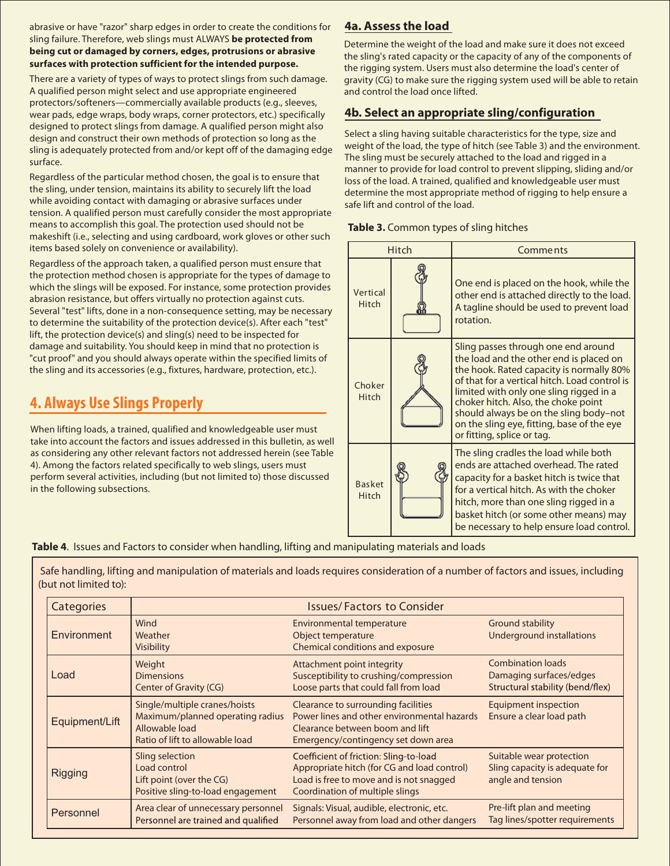abrasive or have "razor" sharp edges in order to create the conditions for sling failure. Therefore, web slings must ALWAYS **be protected from being cut or damaged by corners, edges, protrusions or abrasive surfaces with protection sufficient for the intended purpose.**

There are a variety of types of ways to protect slings from such damage. A qualified person might select and use appropriate engineered protectors/softeners—commercially available products (e.g., sleeves, wear pads, edge wraps, body wraps, corner protectors, etc.) specifically designed to protect slings from damage. A qualified person might also design and construct their own methods of protection so long as the sling is adequately protected from and/or kept off of the damaging edge surface.

Regardless of the particular method chosen, the goal is to ensure that the sling, under tension, maintains its ability to securely lift the load while avoiding contact with damaging or abrasive surfaces under tension. A qualified person must carefully consider the most appropriate means to accomplish this goal. The protection used should not be makeshift (i.e., selecting and using cardboard, work gloves or other such items based solely on convenience or availability).

Regardless of the approach taken, a qualified person must ensure that the protection method chosen is appropriate for the types of damage to which the slings will be exposed. For instance, some protection provides abrasion resistance, but offers virtually no protection against cuts. Several "test" lifts, done in a non-consequence setting, may be necessary to determine the suitability of the protection device(s). After each "test" lift, the protection device(s) and sling(s) need to be inspected for damage and suitability. You should keep in mind that no protection is "cut proof" and you should always operate within the specified limits of the sling and its accessories (e.g., fixtures, hardware, protection, etc.).

## **4. Always Use Slings Properly**

When lifting loads, a trained, qualified and knowledgeable user must take into account the factors and issues addressed in this bulletin, as well as considering any other relevant factors not addressed herein (see Table 4). Among the factors related specifically to web slings, users must perform several activities, including (but not limited to) those discussed in the following subsections.

### **4a. Assess the load**

Determine the weight of the load and make sure it does not exceed the sling's rated capacity or the capacity of any of the components of the rigging system. Users must also determine the load's center of gravity (CG) to make sure the rigging system used will be able to retain and control the load once lifted.

#### **4b. Select an appropriate sling/configuration**

Select a sling having suitable characteristics for the type, size and weight of the load, the type of hitch (see Table 3) and the environment. The sling must be securely attached to the load and rigged in a manner to provide for load control to prevent slipping, sliding and/or loss of the load. A trained, qualified and knowledgeable user must determine the most appropriate method of rigging to help ensure a safe lift and control of the load.

| <b>Hitch</b>           |  | <b>Comments</b>                                                                                                                                                                                                                                                                                                                                                                     |  |
|------------------------|--|-------------------------------------------------------------------------------------------------------------------------------------------------------------------------------------------------------------------------------------------------------------------------------------------------------------------------------------------------------------------------------------|--|
| Vertical<br>Hitch      |  | One end is placed on the hook, while the<br>other end is attached directly to the load.<br>A tagline should be used to prevent load<br>rotation.                                                                                                                                                                                                                                    |  |
| Choker<br>Hitch        |  | Sling passes through one end around<br>the load and the other end is placed on<br>the hook. Rated capacity is normally 80%<br>of that for a vertical hitch. Load control is<br>limited with only one sling rigged in a<br>choker hitch. Also, the choke point<br>should always be on the sling body-not<br>on the sling eye, fitting, base of the eye<br>or fitting, splice or tag. |  |
| <b>Basket</b><br>Hitch |  | The sling cradles the load while both<br>ends are attached overhead. The rated<br>capacity for a basket hitch is twice that<br>for a vertical hitch. As with the choker<br>hitch, more than one sling rigged in a<br>basket hitch (or some other means) may<br>be necessary to help ensure load control.                                                                            |  |

**Table 4**. Issues and Factors to consider when handling, lifting and manipulating materials and loads

Safe handling, lifting and manipulation of materials and loads requires consideration of a number of factors and issues, including (but not limited to):

| Categories     | <b>Issues/Factors to Consider</b>                                                                                      |                                                                                                                                                                     |                                                                                         |  |  |
|----------------|------------------------------------------------------------------------------------------------------------------------|---------------------------------------------------------------------------------------------------------------------------------------------------------------------|-----------------------------------------------------------------------------------------|--|--|
| Environment    | Wind<br>Weather<br>Visibility                                                                                          | <b>Environmental temperature</b><br>Object temperature<br>Chemical conditions and exposure                                                                          | <b>Ground stability</b><br><b>Underground installations</b>                             |  |  |
| Load           | Weight<br><b>Dimensions</b><br>Center of Gravity (CG)                                                                  | Attachment point integrity<br>Susceptibility to crushing/compression<br>Loose parts that could fall from load                                                       | <b>Combination loads</b><br>Damaging surfaces/edges<br>Structural stability (bend/flex) |  |  |
| Equipment/Lift | Single/multiple cranes/hoists<br>Maximum/planned operating radius<br>Allowable load<br>Ratio of lift to allowable load | Clearance to surrounding facilities<br>Power lines and other environmental hazards<br>Clearance between boom and lift<br>Emergency/contingency set down area        | <b>Equipment inspection</b><br>Ensure a clear load path                                 |  |  |
| <b>Rigging</b> | Sling selection<br>Load control<br>Lift point (over the CG)<br>Positive sling-to-load engagement                       | Coefficient of friction: Sling-to-load<br>Appropriate hitch (for CG and load control)<br>Load is free to move and is not snagged<br>Coordination of multiple slings | Suitable wear protection<br>Sling capacity is adequate for<br>angle and tension         |  |  |
| Personnel      | Area clear of unnecessary personnel<br>Personnel are trained and qualified                                             | Signals: Visual, audible, electronic, etc.<br>Personnel away from load and other dangers                                                                            | Pre-lift plan and meeting<br>Tag lines/spotter requirements                             |  |  |